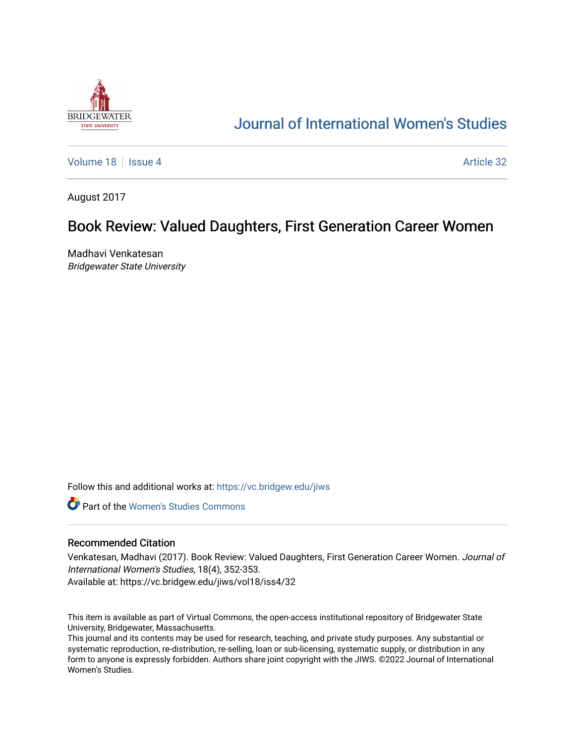

# [Journal of International Women's Studies](https://vc.bridgew.edu/jiws)

[Volume 18](https://vc.bridgew.edu/jiws/vol18) September 2014 19:00 19:00 19:00 19:00 19:00 19:00 19:00 19:00 19:00 19:00 19:00 19:00 19:00 19:00 1

August 2017

## Book Review: Valued Daughters, First Generation Career Women

Madhavi Venkatesan Bridgewater State University

Follow this and additional works at: [https://vc.bridgew.edu/jiws](https://vc.bridgew.edu/jiws?utm_source=vc.bridgew.edu%2Fjiws%2Fvol18%2Fiss4%2F32&utm_medium=PDF&utm_campaign=PDFCoverPages)

**C** Part of the Women's Studies Commons

#### Recommended Citation

Venkatesan, Madhavi (2017). Book Review: Valued Daughters, First Generation Career Women. Journal of International Women's Studies, 18(4), 352-353. Available at: https://vc.bridgew.edu/jiws/vol18/iss4/32

This item is available as part of Virtual Commons, the open-access institutional repository of Bridgewater State University, Bridgewater, Massachusetts.

This journal and its contents may be used for research, teaching, and private study purposes. Any substantial or systematic reproduction, re-distribution, re-selling, loan or sub-licensing, systematic supply, or distribution in any form to anyone is expressly forbidden. Authors share joint copyright with the JIWS. ©2022 Journal of International Women's Studies.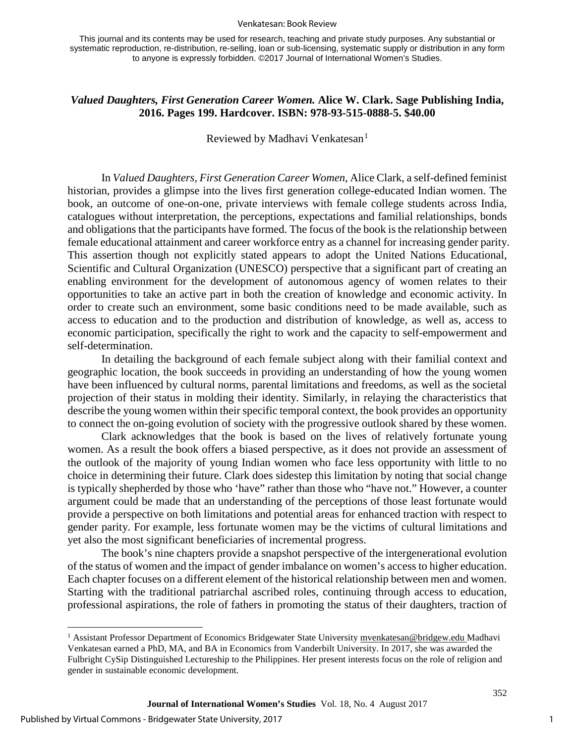#### Venkatesan: Book Review

This journal and its contents may be used for research, teaching and private study purposes. Any substantial or systematic reproduction, re-distribution, re-selling, loan or sub-licensing, systematic supply or distribution in any form to anyone is expressly forbidden. ©2017 Journal of International Women's Studies.

### *Valued Daughters, First Generation Career Women.* **Alice W. Clark. Sage Publishing India, 2016. Pages 199. Hardcover. ISBN: 978-93-515-0888-5. \$40.00**

Reviewed by Madhavi Venkatesan<sup>[1](#page-1-0)</sup>

In *Valued Daughters, First Generation Career Women,* Alice Clark, a self-defined feminist historian, provides a glimpse into the lives first generation college-educated Indian women. The book, an outcome of one-on-one, private interviews with female college students across India, catalogues without interpretation, the perceptions, expectations and familial relationships, bonds and obligations that the participants have formed. The focus of the book is the relationship between female educational attainment and career workforce entry as a channel for increasing gender parity. This assertion though not explicitly stated appears to adopt the United Nations Educational, Scientific and Cultural Organization (UNESCO) perspective that a significant part of creating an enabling environment for the development of autonomous agency of women relates to their opportunities to take an active part in both the creation of knowledge and economic activity. In order to create such an environment, some basic conditions need to be made available, such as access to education and to the production and distribution of knowledge, as well as, access to economic participation, specifically the right to work and the capacity to self-empowerment and self-determination.

In detailing the background of each female subject along with their familial context and geographic location, the book succeeds in providing an understanding of how the young women have been influenced by cultural norms, parental limitations and freedoms, as well as the societal projection of their status in molding their identity. Similarly, in relaying the characteristics that describe the young women within their specific temporal context, the book provides an opportunity to connect the on-going evolution of society with the progressive outlook shared by these women.

Clark acknowledges that the book is based on the lives of relatively fortunate young women. As a result the book offers a biased perspective, as it does not provide an assessment of the outlook of the majority of young Indian women who face less opportunity with little to no choice in determining their future. Clark does sidestep this limitation by noting that social change is typically shepherded by those who 'have" rather than those who "have not." However, a counter argument could be made that an understanding of the perceptions of those least fortunate would provide a perspective on both limitations and potential areas for enhanced traction with respect to gender parity. For example, less fortunate women may be the victims of cultural limitations and yet also the most significant beneficiaries of incremental progress.

The book's nine chapters provide a snapshot perspective of the intergenerational evolution of the status of women and the impact of gender imbalance on women's access to higher education. Each chapter focuses on a different element of the historical relationship between men and women. Starting with the traditional patriarchal ascribed roles, continuing through access to education, professional aspirations, the role of fathers in promoting the status of their daughters, traction of

 $\overline{a}$ 

352

<span id="page-1-0"></span><sup>&</sup>lt;sup>1</sup> Assistant Professor Department of Economics Bridgewater State University myenkatesan@bridgew.edu Madhavi Venkatesan earned a PhD, MA, and BA in Economics from Vanderbilt University. In 2017, she was awarded the Fulbright CySip Distinguished Lectureship to the Philippines. Her present interests focus on the role of religion and gender in sustainable economic development.